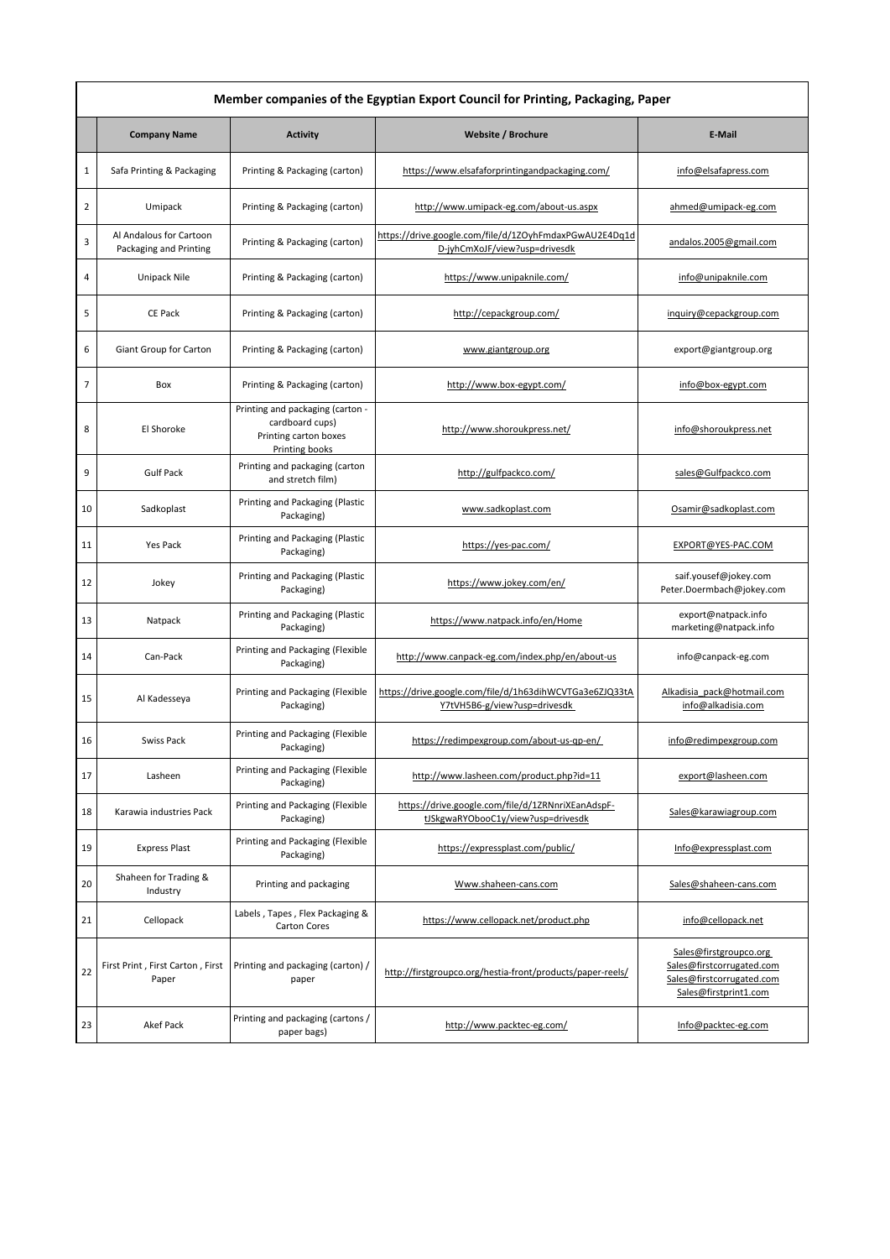| Member companies of the Egyptian Export Council for Printing, Packaging, Paper |                                                   |                                                                                                |                                                                                         |                                                                                                           |  |  |
|--------------------------------------------------------------------------------|---------------------------------------------------|------------------------------------------------------------------------------------------------|-----------------------------------------------------------------------------------------|-----------------------------------------------------------------------------------------------------------|--|--|
|                                                                                | <b>Company Name</b>                               | <b>Activity</b>                                                                                | Website / Brochure                                                                      | E-Mail                                                                                                    |  |  |
| 1                                                                              | Safa Printing & Packaging                         | Printing & Packaging (carton)                                                                  | https://www.elsafaforprintingandpackaging.com/                                          | info@elsafapress.com                                                                                      |  |  |
| 2                                                                              | Umipack                                           | Printing & Packaging (carton)                                                                  | http://www.umipack-eg.com/about-us.aspx                                                 | ahmed@umipack-eg.com                                                                                      |  |  |
| 3                                                                              | Al Andalous for Cartoon<br>Packaging and Printing | Printing & Packaging (carton)                                                                  | https://drive.google.com/file/d/1ZOyhFmdaxPGwAU2E4Dq1d<br>D-jyhCmXoJF/view?usp=drivesdk | andalos.2005@gmail.com                                                                                    |  |  |
| 4                                                                              | Unipack Nile                                      | Printing & Packaging (carton)                                                                  | https://www.unipaknile.com/                                                             | info@unipaknile.com                                                                                       |  |  |
| 5                                                                              | <b>CE Pack</b>                                    | Printing & Packaging (carton)                                                                  | http://cepackgroup.com/                                                                 | inguiry@cepackgroup.com                                                                                   |  |  |
| 6                                                                              | Giant Group for Carton                            | Printing & Packaging (carton)                                                                  | www.giantgroup.org                                                                      | export@giantgroup.org                                                                                     |  |  |
| $\overline{7}$                                                                 | Box                                               | Printing & Packaging (carton)                                                                  | http://www.box-egypt.com/                                                               | info@box-egypt.com                                                                                        |  |  |
| 8                                                                              | El Shoroke                                        | Printing and packaging (carton -<br>cardboard cups)<br>Printing carton boxes<br>Printing books | http://www.shoroukpress.net/                                                            | info@shoroukpress.net                                                                                     |  |  |
| 9                                                                              | <b>Gulf Pack</b>                                  | Printing and packaging (carton<br>and stretch film)                                            | http://gulfpackco.com/                                                                  | sales@Gulfpackco.com                                                                                      |  |  |
| 10                                                                             | Sadkoplast                                        | Printing and Packaging (Plastic<br>Packaging)                                                  | www.sadkoplast.com                                                                      | Osamir@sadkoplast.com                                                                                     |  |  |
| 11                                                                             | Yes Pack                                          | Printing and Packaging (Plastic<br>Packaging)                                                  | https://yes-pac.com/                                                                    | EXPORT@YES-PAC.COM                                                                                        |  |  |
| 12                                                                             | Jokey                                             | Printing and Packaging (Plastic<br>Packaging)                                                  | https://www.jokey.com/en/                                                               | saif.yousef@jokey.com<br>Peter.Doermbach@jokey.com                                                        |  |  |
| 13                                                                             | Natpack                                           | Printing and Packaging (Plastic<br>Packaging)                                                  | https://www.natpack.info/en/Home                                                        | export@natpack.info<br>marketing@natpack.info                                                             |  |  |
| 14                                                                             | Can-Pack                                          | Printing and Packaging (Flexible<br>Packaging)                                                 | http://www.canpack-eg.com/index.php/en/about-us                                         | info@canpack-eg.com                                                                                       |  |  |
| 15                                                                             | Al Kadesseya                                      | Printing and Packaging (Flexible<br>Packaging)                                                 | https://drive.google.com/file/d/1h63dihWCVTGa3e6ZJQ33tA<br>Y7tVH5B6-g/view?usp=drivesdk | Alkadisia pack@hotmail.com<br>info@alkadisia.com                                                          |  |  |
| 16                                                                             | Swiss Pack                                        | Printing and Packaging (Flexible<br>Packaging)                                                 | https://redimpexgroup.com/about-us-qp-en/                                               | info@redimpexgroup.com                                                                                    |  |  |
| 17                                                                             | Lasheen                                           | Printing and Packaging (Flexible<br>Packaging)                                                 | http://www.lasheen.com/product.php?id=11                                                | export@lasheen.com                                                                                        |  |  |
| 18                                                                             | Karawia industries Pack                           | Printing and Packaging (Flexible<br>Packaging)                                                 | https://drive.google.com/file/d/1ZRNnriXEanAdspF-<br>tJSkgwaRYObooC1y/view?usp=drivesdk | Sales@karawiagroup.com                                                                                    |  |  |
| 19                                                                             | <b>Express Plast</b>                              | Printing and Packaging (Flexible<br>Packaging)                                                 | https://expressplast.com/public/                                                        | Info@expressplast.com                                                                                     |  |  |
| 20                                                                             | Shaheen for Trading &<br>Industry                 | Printing and packaging                                                                         | Www.shaheen-cans.com                                                                    | Sales@shaheen-cans.com                                                                                    |  |  |
| 21                                                                             | Cellopack                                         | Labels, Tapes, Flex Packaging &<br><b>Carton Cores</b>                                         | https://www.cellopack.net/product.php                                                   | info@cellopack.net                                                                                        |  |  |
| 22                                                                             | First Print, First Carton, First<br>Paper         | Printing and packaging (carton) /<br>paper                                                     | http://firstgroupco.org/hestia-front/products/paper-reels/                              | Sales@firstgroupco.org<br>Sales@firstcorrugated.com<br>Sales@firstcorrugated.com<br>Sales@firstprint1.com |  |  |
| 23                                                                             | Akef Pack                                         | Printing and packaging (cartons /<br>paper bags)                                               | http://www.packtec-eg.com/                                                              | Info@packtec-eg.com                                                                                       |  |  |